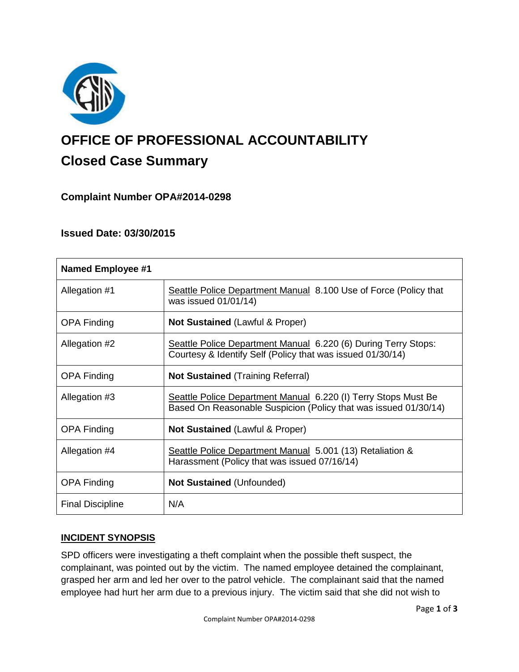

# **OFFICE OF PROFESSIONAL ACCOUNTABILITY Closed Case Summary**

# **Complaint Number OPA#2014-0298**

# **Issued Date: 03/30/2015**

| <b>Named Employee #1</b> |                                                                                                                                   |
|--------------------------|-----------------------------------------------------------------------------------------------------------------------------------|
| Allegation #1            | Seattle Police Department Manual 8.100 Use of Force (Policy that<br>was issued 01/01/14)                                          |
| <b>OPA Finding</b>       | <b>Not Sustained (Lawful &amp; Proper)</b>                                                                                        |
| Allegation #2            | Seattle Police Department Manual 6.220 (6) During Terry Stops:<br>Courtesy & Identify Self (Policy that was issued 01/30/14)      |
| <b>OPA Finding</b>       | <b>Not Sustained</b> (Training Referral)                                                                                          |
| Allegation #3            | Seattle Police Department Manual 6.220 (I) Terry Stops Must Be<br>Based On Reasonable Suspicion (Policy that was issued 01/30/14) |
| <b>OPA Finding</b>       | <b>Not Sustained (Lawful &amp; Proper)</b>                                                                                        |
| Allegation #4            | Seattle Police Department Manual 5.001 (13) Retaliation &<br>Harassment (Policy that was issued 07/16/14)                         |
| <b>OPA Finding</b>       | <b>Not Sustained (Unfounded)</b>                                                                                                  |
| <b>Final Discipline</b>  | N/A                                                                                                                               |

## **INCIDENT SYNOPSIS**

SPD officers were investigating a theft complaint when the possible theft suspect, the complainant, was pointed out by the victim. The named employee detained the complainant, grasped her arm and led her over to the patrol vehicle. The complainant said that the named employee had hurt her arm due to a previous injury. The victim said that she did not wish to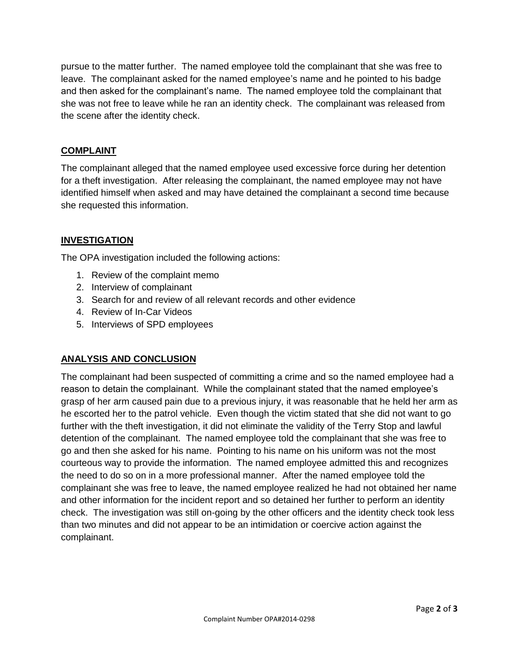pursue to the matter further. The named employee told the complainant that she was free to leave. The complainant asked for the named employee's name and he pointed to his badge and then asked for the complainant's name. The named employee told the complainant that she was not free to leave while he ran an identity check. The complainant was released from the scene after the identity check.

## **COMPLAINT**

The complainant alleged that the named employee used excessive force during her detention for a theft investigation. After releasing the complainant, the named employee may not have identified himself when asked and may have detained the complainant a second time because she requested this information.

## **INVESTIGATION**

The OPA investigation included the following actions:

- 1. Review of the complaint memo
- 2. Interview of complainant
- 3. Search for and review of all relevant records and other evidence
- 4. Review of In-Car Videos
- 5. Interviews of SPD employees

## **ANALYSIS AND CONCLUSION**

The complainant had been suspected of committing a crime and so the named employee had a reason to detain the complainant. While the complainant stated that the named employee's grasp of her arm caused pain due to a previous injury, it was reasonable that he held her arm as he escorted her to the patrol vehicle. Even though the victim stated that she did not want to go further with the theft investigation, it did not eliminate the validity of the Terry Stop and lawful detention of the complainant. The named employee told the complainant that she was free to go and then she asked for his name. Pointing to his name on his uniform was not the most courteous way to provide the information. The named employee admitted this and recognizes the need to do so on in a more professional manner. After the named employee told the complainant she was free to leave, the named employee realized he had not obtained her name and other information for the incident report and so detained her further to perform an identity check. The investigation was still on-going by the other officers and the identity check took less than two minutes and did not appear to be an intimidation or coercive action against the complainant.